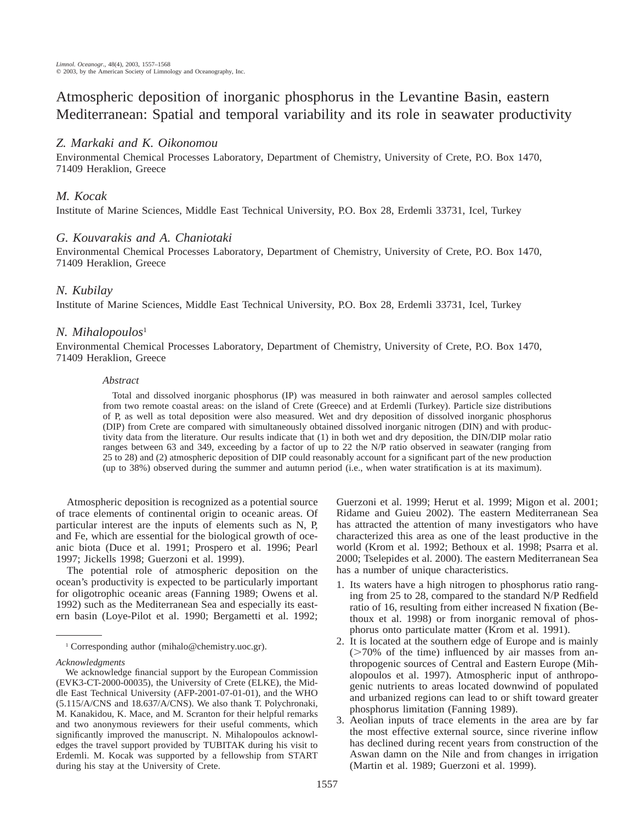Atmospheric deposition of inorganic phosphorus in the Levantine Basin, eastern Mediterranean: Spatial and temporal variability and its role in seawater productivity

# *Z. Markaki and K. Oikonomou*

Environmental Chemical Processes Laboratory, Department of Chemistry, University of Crete, P.O. Box 1470, 71409 Heraklion, Greece

### *M. Kocak*

Institute of Marine Sciences, Middle East Technical University, P.O. Box 28, Erdemli 33731, Icel, Turkey

### *G. Kouvarakis and A. Chaniotaki*

Environmental Chemical Processes Laboratory, Department of Chemistry, University of Crete, P.O. Box 1470, 71409 Heraklion, Greece

# *N. Kubilay*

Institute of Marine Sciences, Middle East Technical University, P.O. Box 28, Erdemli 33731, Icel, Turkey

# *N. Mihalopoulos*<sup>1</sup>

Environmental Chemical Processes Laboratory, Department of Chemistry, University of Crete, P.O. Box 1470, 71409 Heraklion, Greece

### *Abstract*

Total and dissolved inorganic phosphorus (IP) was measured in both rainwater and aerosol samples collected from two remote coastal areas: on the island of Crete (Greece) and at Erdemli (Turkey). Particle size distributions of P, as well as total deposition were also measured. Wet and dry deposition of dissolved inorganic phosphorus (DIP) from Crete are compared with simultaneously obtained dissolved inorganic nitrogen (DIN) and with productivity data from the literature. Our results indicate that (1) in both wet and dry deposition, the DIN/DIP molar ratio ranges between 63 and 349, exceeding by a factor of up to 22 the N/P ratio observed in seawater (ranging from 25 to 28) and (2) atmospheric deposition of DIP could reasonably account for a significant part of the new production (up to 38%) observed during the summer and autumn period (i.e., when water stratification is at its maximum).

Atmospheric deposition is recognized as a potential source of trace elements of continental origin to oceanic areas. Of particular interest are the inputs of elements such as N, P, and Fe, which are essential for the biological growth of oceanic biota (Duce et al. 1991; Prospero et al. 1996; Pearl 1997; Jickells 1998; Guerzoni et al. 1999).

The potential role of atmospheric deposition on the ocean's productivity is expected to be particularly important for oligotrophic oceanic areas (Fanning 1989; Owens et al. 1992) such as the Mediterranean Sea and especially its eastern basin (Loye-Pilot et al. 1990; Bergametti et al. 1992; Guerzoni et al. 1999; Herut et al. 1999; Migon et al. 2001; Ridame and Guieu 2002). The eastern Mediterranean Sea has attracted the attention of many investigators who have characterized this area as one of the least productive in the world (Krom et al. 1992; Bethoux et al. 1998; Psarra et al. 2000; Tselepides et al. 2000). The eastern Mediterranean Sea has a number of unique characteristics.

- 1. Its waters have a high nitrogen to phosphorus ratio ranging from 25 to 28, compared to the standard N/P Redfield ratio of 16, resulting from either increased N fixation (Bethoux et al. 1998) or from inorganic removal of phosphorus onto particulate matter (Krom et al. 1991).
- 2. It is located at the southern edge of Europe and is mainly  $($ >70% of the time) influenced by air masses from anthropogenic sources of Central and Eastern Europe (Mihalopoulos et al. 1997). Atmospheric input of anthropogenic nutrients to areas located downwind of populated and urbanized regions can lead to or shift toward greater phosphorus limitation (Fanning 1989).
- 3. Aeolian inputs of trace elements in the area are by far the most effective external source, since riverine inflow has declined during recent years from construction of the Aswan damn on the Nile and from changes in irrigation (Martin et al. 1989; Guerzoni et al. 1999).

<sup>1</sup> Corresponding author (mihalo@chemistry.uoc.gr).

*Acknowledgments*

We acknowledge financial support by the European Commission (EVK3-CT-2000-00035), the University of Crete (ELKE), the Middle East Technical University (AFP-2001-07-01-01), and the WHO (5.115/A/CNS and 18.637/A/CNS). We also thank T. Polychronaki, M. Kanakidou, K. Mace, and M. Scranton for their helpful remarks and two anonymous reviewers for their useful comments, which significantly improved the manuscript. N. Mihalopoulos acknowledges the travel support provided by TUBITAK during his visit to Erdemli. M. Kocak was supported by a fellowship from START during his stay at the University of Crete.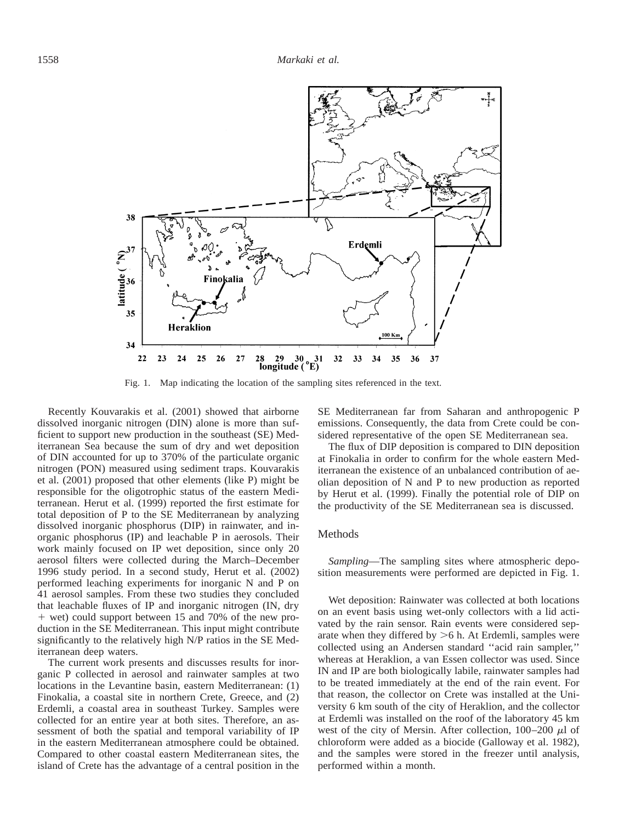

Fig. 1. Map indicating the location of the sampling sites referenced in the text.

Recently Kouvarakis et al. (2001) showed that airborne dissolved inorganic nitrogen (DIN) alone is more than sufficient to support new production in the southeast (SE) Mediterranean Sea because the sum of dry and wet deposition of DIN accounted for up to 370% of the particulate organic nitrogen (PON) measured using sediment traps. Kouvarakis et al. (2001) proposed that other elements (like P) might be responsible for the oligotrophic status of the eastern Mediterranean. Herut et al. (1999) reported the first estimate for total deposition of P to the SE Mediterranean by analyzing dissolved inorganic phosphorus (DIP) in rainwater, and inorganic phosphorus (IP) and leachable P in aerosols. Their work mainly focused on IP wet deposition, since only 20 aerosol filters were collected during the March–December 1996 study period. In a second study, Herut et al. (2002) performed leaching experiments for inorganic N and P on 41 aerosol samples. From these two studies they concluded that leachable fluxes of IP and inorganic nitrogen (IN, dry 1 wet) could support between 15 and 70% of the new production in the SE Mediterranean. This input might contribute significantly to the relatively high N/P ratios in the SE Mediterranean deep waters.

The current work presents and discusses results for inorganic P collected in aerosol and rainwater samples at two locations in the Levantine basin, eastern Mediterranean: (1) Finokalia, a coastal site in northern Crete, Greece, and (2) Erdemli, a coastal area in southeast Turkey. Samples were collected for an entire year at both sites. Therefore, an assessment of both the spatial and temporal variability of IP in the eastern Mediterranean atmosphere could be obtained. Compared to other coastal eastern Mediterranean sites, the island of Crete has the advantage of a central position in the SE Mediterranean far from Saharan and anthropogenic P emissions. Consequently, the data from Crete could be considered representative of the open SE Mediterranean sea.

The flux of DIP deposition is compared to DIN deposition at Finokalia in order to confirm for the whole eastern Mediterranean the existence of an unbalanced contribution of aeolian deposition of N and P to new production as reported by Herut et al. (1999). Finally the potential role of DIP on the productivity of the SE Mediterranean sea is discussed.

#### Methods

*Sampling*—The sampling sites where atmospheric deposition measurements were performed are depicted in Fig. 1.

Wet deposition: Rainwater was collected at both locations on an event basis using wet-only collectors with a lid activated by the rain sensor. Rain events were considered separate when they differed by  $>6$  h. At Erdemli, samples were collected using an Andersen standard ''acid rain sampler,'' whereas at Heraklion, a van Essen collector was used. Since IN and IP are both biologically labile, rainwater samples had to be treated immediately at the end of the rain event. For that reason, the collector on Crete was installed at the University 6 km south of the city of Heraklion, and the collector at Erdemli was installed on the roof of the laboratory 45 km west of the city of Mersin. After collection,  $100-200 \mu l$  of chloroform were added as a biocide (Galloway et al. 1982), and the samples were stored in the freezer until analysis, performed within a month.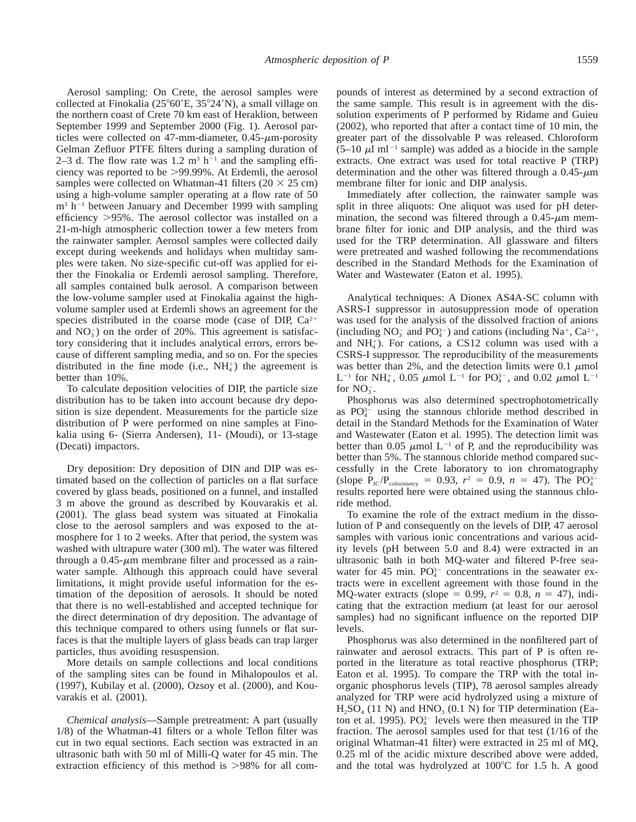Aerosol sampling: On Crete, the aerosol samples were collected at Finokalia  $(25^{\circ}60'E, 35^{\circ}24'N)$ , a small village on the northern coast of Crete 70 km east of Heraklion, between September 1999 and September 2000 (Fig. 1). Aerosol particles were collected on 47-mm-diameter,  $0.45$ - $\mu$ m-porosity Gelman Zefluor PTFE filters during a sampling duration of 2–3 d. The flow rate was 1.2  $m<sup>3</sup> h<sup>-1</sup>$  and the sampling efficiency was reported to be >99.99%. At Erdemli, the aerosol samples were collected on Whatman-41 filters ( $20 \times 25$  cm) using a high-volume sampler operating at a flow rate of 50  $m<sup>3</sup> h<sup>-1</sup>$  between January and December 1999 with sampling efficiency >95%. The aerosol collector was installed on a 21-m-high atmospheric collection tower a few meters from the rainwater sampler. Aerosol samples were collected daily except during weekends and holidays when multiday samples were taken. No size-specific cut-off was applied for either the Finokalia or Erdemli aerosol sampling. Therefore, all samples contained bulk aerosol. A comparison between the low-volume sampler used at Finokalia against the highvolume sampler used at Erdemli shows an agreement for the species distributed in the coarse mode (case of DIP,  $Ca^{2+}$ and  $NO<sub>3</sub><sup>-</sup>$ ) on the order of 20%. This agreement is satisfactory considering that it includes analytical errors, errors because of different sampling media, and so on. For the species distributed in the fine mode (i.e.,  $NH_4^+$ ) the agreement is better than 10%.

To calculate deposition velocities of DIP, the particle size distribution has to be taken into account because dry deposition is size dependent. Measurements for the particle size distribution of P were performed on nine samples at Finokalia using 6- (Sierra Andersen), 11- (Moudi), or 13-stage (Decati) impactors.

Dry deposition: Dry deposition of DIN and DIP was estimated based on the collection of particles on a flat surface covered by glass beads, positioned on a funnel, and installed 3 m above the ground as described by Kouvarakis et al. (2001). The glass bead system was situated at Finokalia close to the aerosol samplers and was exposed to the atmosphere for 1 to 2 weeks. After that period, the system was washed with ultrapure water (300 ml). The water was filtered through a  $0.45$ - $\mu$ m membrane filter and processed as a rainwater sample. Although this approach could have several limitations, it might provide useful information for the estimation of the deposition of aerosols. It should be noted that there is no well-established and accepted technique for the direct determination of dry deposition. The advantage of this technique compared to others using funnels or flat surfaces is that the multiple layers of glass beads can trap larger particles, thus avoiding resuspension.

More details on sample collections and local conditions of the sampling sites can be found in Mihalopoulos et al. (1997), Kubilay et al. (2000), Ozsoy et al. (2000), and Kouvarakis et al. (2001).

*Chemical analysis*—Sample pretreatment: A part (usually 1/8) of the Whatman-41 filters or a whole Teflon filter was cut in two equal sections. Each section was extracted in an ultrasonic bath with 50 ml of Milli-Q water for 45 min. The extraction efficiency of this method is  $>98\%$  for all com-

pounds of interest as determined by a second extraction of the same sample. This result is in agreement with the dissolution experiments of P performed by Ridame and Guieu (2002), who reported that after a contact time of 10 min, the greater part of the dissolvable P was released. Chloroform  $(5-10 \mu l \text{ ml}^{-1}$  sample) was added as a biocide in the sample extracts. One extract was used for total reactive P (TRP) determination and the other was filtered through a  $0.45-\mu m$ membrane filter for ionic and DIP analysis.

Immediately after collection, the rainwater sample was split in three aliquots: One aliquot was used for pH determination, the second was filtered through a  $0.45-\mu m$  membrane filter for ionic and DIP analysis, and the third was used for the TRP determination. All glassware and filters were pretreated and washed following the recommendations described in the Standard Methods for the Examination of Water and Wastewater (Eaton et al. 1995).

Analytical techniques: A Dionex AS4A-SC column with ASRS-I suppressor in autosuppression mode of operation was used for the analysis of the dissolved fraction of anions (including  $NO_3^-$  and  $PO_4^{3-}$ ) and cations (including  $Na^+$ ,  $Ca^{2+}$ , and  $NH<sub>4</sub>$ ). For cations, a CS12 column was used with a CSRS-I suppressor. The reproducibility of the measurements was better than 2%, and the detection limits were 0.1  $\mu$ mol L<sup>-1</sup> for NH<sub>4</sub>, 0.05  $\mu$ mol L<sup>-1</sup> for PO<sub>4</sub><sup>2</sup>, and 0.02  $\mu$ mol L<sup>-1</sup> for  $NO<sub>3</sub>$ .

Phosphorus was also determined spectrophotometrically as  $PO_4^{3-}$  using the stannous chloride method described in detail in the Standard Methods for the Examination of Water and Wastewater (Eaton et al. 1995). The detection limit was better than 0.05  $\mu$ mol L<sup>-1</sup> of P, and the reproducibility was better than 5%. The stannous chloride method compared successfully in the Crete laboratory to ion chromatography (slope  $P_{IC}/P_{\text{colorinmetry}} = 0.93, r^2 = 0.9, n = 47$ ). The PO<sub>4</sub><sup>-</sup> results reported here were obtained using the stannous chloride method.

To examine the role of the extract medium in the dissolution of P and consequently on the levels of DIP, 47 aerosol samples with various ionic concentrations and various acidity levels (pH between 5.0 and 8.4) were extracted in an ultrasonic bath in both MQ-water and filtered P-free seawater for 45 min.  $PO_4^{3-}$  concentrations in the seawater extracts were in excellent agreement with those found in the MQ-water extracts (slope = 0.99,  $r^2 = 0.8$ ,  $n = 47$ ), indicating that the extraction medium (at least for our aerosol samples) had no significant influence on the reported DIP levels.

Phosphorus was also determined in the nonfiltered part of rainwater and aerosol extracts. This part of P is often reported in the literature as total reactive phosphorus (TRP; Eaton et al. 1995). To compare the TRP with the total inorganic phosphorus levels (TIP), 78 aerosol samples already analyzed for TRP were acid hydrolyzed using a mixture of  $H_2SO_4$  (11 N) and HNO<sub>3</sub> (0.1 N) for TIP determination (Eaton et al. 1995).  $PQ_4^{3-}$  levels were then measured in the TIP fraction. The aerosol samples used for that test (1/16 of the original Whatman-41 filter) were extracted in 25 ml of MQ, 0.25 ml of the acidic mixture described above were added, and the total was hydrolyzed at  $100^{\circ}$ C for 1.5 h. A good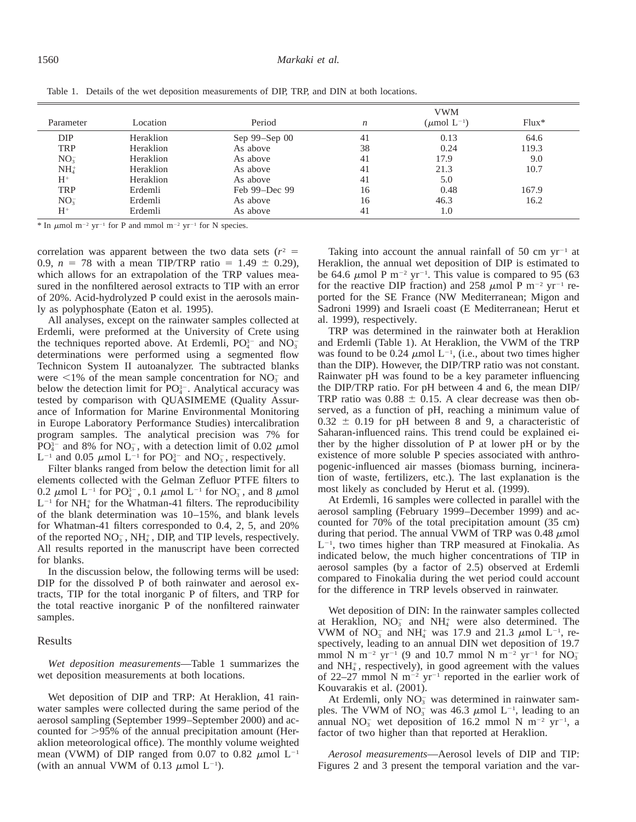|                 |           |               | <b>VWM</b>       |                            |         |  |
|-----------------|-----------|---------------|------------------|----------------------------|---------|--|
| Parameter       | Location  | Period        | $\boldsymbol{n}$ | $(\mu \text{mol } L^{-1})$ | $Flux*$ |  |
| DIP             | Heraklion | Sep 99-Sep 00 | 41               | 0.13                       | 64.6    |  |
| <b>TRP</b>      | Heraklion | As above      | 38               | 0.24                       | 119.3   |  |
| $NO_3^-$        | Heraklion | As above      | 41               | 17.9                       | 9.0     |  |
| NH <sub>4</sub> | Heraklion | As above      | 41               | 21.3                       | 10.7    |  |
| $H^+$           | Heraklion | As above      | 41               | 5.0                        |         |  |
| <b>TRP</b>      | Erdemli   | Feb 99-Dec 99 | 16               | 0.48                       | 167.9   |  |
| NO <sub>3</sub> | Erdemli   | As above      | 16               | 46.3                       | 16.2    |  |
| $H^+$           | Erdemli   | As above      | 41               | 1.0                        |         |  |

Table 1. Details of the wet deposition measurements of DIP, TRP, and DIN at both locations.

\* In  $\mu$ mol m<sup>-2</sup> yr<sup>-1</sup> for P and mmol m<sup>-2</sup> yr<sup>-1</sup> for N species.

correlation was apparent between the two data sets  $(r^2 =$ 0.9,  $n = 78$  with a mean TIP/TRP ratio = 1.49  $\pm$  0.29), which allows for an extrapolation of the TRP values measured in the nonfiltered aerosol extracts to TIP with an error of 20%. Acid-hydrolyzed P could exist in the aerosols mainly as polyphosphate (Eaton et al. 1995).

All analyses, except on the rainwater samples collected at Erdemli, were preformed at the University of Crete using the techniques reported above. At Erdemli,  $PO_4^{3-}$  and  $NO_3^$ determinations were performed using a segmented flow Technicon System II autoanalyzer. The subtracted blanks were  $\leq$ 1% of the mean sample concentration for NO<sub>3</sub> and below the detection limit for  $PO<sub>4</sub><sup>3-</sup>$ . Analytical accuracy was tested by comparison with QUASIMEME (Quality Assurance of Information for Marine Environmental Monitoring in Europe Laboratory Performance Studies) intercalibration program samples. The analytical precision was 7% for PO<sup>3-</sup> and 8% for NO<sub>3</sub>, with a detection limit of 0.02  $\mu$ mol  $L^{-1}$  and 0.05  $\mu$ mol  $L^{-1}$  for PO<sub>4</sub><sup>-</sup> and NO<sub>3</sub><sup>-</sup>, respectively.

Filter blanks ranged from below the detection limit for all elements collected with the Gelman Zefluor PTFE filters to 0.2  $\mu$ mol L<sup>-1</sup> for PO<sub>4</sub><sup>-</sup>, 0.1  $\mu$ mol L<sup>-1</sup> for NO<sub>3</sub><sup>-</sup>, and 8  $\mu$ mol  $L^{-1}$  for NH<sub>4</sub> for the Whatman-41 filters. The reproducibility of the blank determination was 10–15%, and blank levels for Whatman-41 filters corresponded to 0.4, 2, 5, and 20% of the reported  $NO_3^-$ ,  $NH_4^+$ , DIP, and TIP levels, respectively. All results reported in the manuscript have been corrected for blanks.

In the discussion below, the following terms will be used: DIP for the dissolved P of both rainwater and aerosol extracts, TIP for the total inorganic P of filters, and TRP for the total reactive inorganic P of the nonfiltered rainwater samples.

### Results

*Wet deposition measurements*—Table 1 summarizes the wet deposition measurements at both locations.

Wet deposition of DIP and TRP: At Heraklion, 41 rainwater samples were collected during the same period of the aerosol sampling (September 1999–September 2000) and accounted for  $>95\%$  of the annual precipitation amount (Heraklion meteorological office). The monthly volume weighted mean (VWM) of DIP ranged from 0.07 to 0.82  $\mu$ mol L<sup>-1</sup> (with an annual VWM of 0.13  $\mu$ mol L<sup>-1</sup>).

Taking into account the annual rainfall of 50 cm  $yr^{-1}$  at Heraklion, the annual wet deposition of DIP is estimated to be 64.6  $\mu$ mol P m<sup>-2</sup> yr<sup>-1</sup>. This value is compared to 95 (63) for the reactive DIP fraction) and 258  $\mu$ mol P m<sup>-2</sup> yr<sup>-1</sup> reported for the SE France (NW Mediterranean; Migon and Sadroni 1999) and Israeli coast (E Mediterranean; Herut et al. 1999), respectively.

TRP was determined in the rainwater both at Heraklion and Erdemli (Table 1). At Heraklion, the VWM of the TRP was found to be 0.24  $\mu$ mol L<sup>-1</sup>, (i.e., about two times higher than the DIP). However, the DIP/TRP ratio was not constant. Rainwater pH was found to be a key parameter influencing the DIP/TRP ratio. For pH between 4 and 6, the mean DIP/ TRP ratio was  $0.88 \pm 0.15$ . A clear decrease was then observed, as a function of pH, reaching a minimum value of  $0.32 \pm 0.19$  for pH between 8 and 9, a characteristic of Saharan-influenced rains. This trend could be explained either by the higher dissolution of P at lower pH or by the existence of more soluble P species associated with anthropogenic-influenced air masses (biomass burning, incineration of waste, fertilizers, etc.). The last explanation is the most likely as concluded by Herut et al. (1999).

At Erdemli, 16 samples were collected in parallel with the aerosol sampling (February 1999–December 1999) and accounted for 70% of the total precipitation amount (35 cm) during that period. The annual VWM of TRP was  $0.48 \mu$ mol  $L^{-1}$ , two times higher than TRP measured at Finokalia. As indicated below, the much higher concentrations of TIP in aerosol samples (by a factor of 2.5) observed at Erdemli compared to Finokalia during the wet period could account for the difference in TRP levels observed in rainwater.

Wet deposition of DIN: In the rainwater samples collected at Heraklion,  $NO_3^-$  and  $NH_4^+$  were also determined. The VWM of  $NO_3^-$  and  $NH_4^+$  was 17.9 and 21.3  $\mu$ mol L<sup>-1</sup>, respectively, leading to an annual DIN wet deposition of 19.7 mmol N m<sup>-2</sup> yr<sup>-1</sup> (9 and 10.7 mmol N m<sup>-2</sup> yr<sup>-1</sup> for NO<sub>3</sub> and  $NH<sub>4</sub><sup>+</sup>$ , respectively), in good agreement with the values of 22–27 mmol N  $m^{-2}$  yr<sup>-1</sup> reported in the earlier work of Kouvarakis et al. (2001).

At Erdemli, only  $NO<sub>3</sub><sup>-</sup>$  was determined in rainwater samples. The VWM of NO<sub>3</sub> was 46.3  $\mu$ mol L<sup>-1</sup>, leading to an annual NO<sub>3</sub> wet deposition of 16.2 mmol N m<sup>-2</sup> yr<sup>-1</sup>, a factor of two higher than that reported at Heraklion.

*Aerosol measurements*—Aerosol levels of DIP and TIP: Figures 2 and 3 present the temporal variation and the var-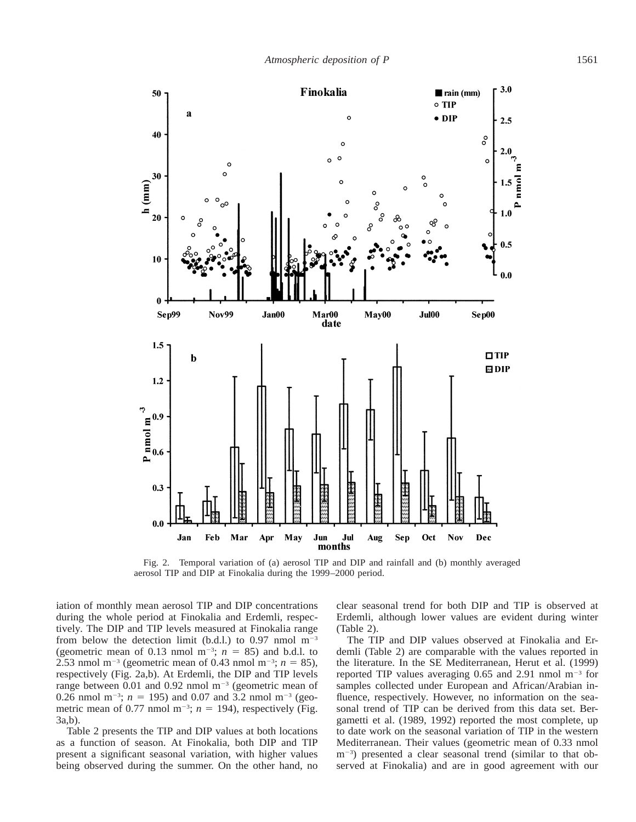

Fig. 2. Temporal variation of (a) aerosol TIP and DIP and rainfall and (b) monthly averaged aerosol TIP and DIP at Finokalia during the 1999–2000 period.

iation of monthly mean aerosol TIP and DIP concentrations during the whole period at Finokalia and Erdemli, respectively. The DIP and TIP levels measured at Finokalia range from below the detection limit (b.d.l.) to 0.97 nmol  $m^{-3}$ (geometric mean of 0.13 nmol  $m^{-3}$ ;  $n = 85$ ) and b.d.l. to 2.53 nmol m<sup>-3</sup> (geometric mean of 0.43 nmol m<sup>-3</sup>;  $n = 85$ ), respectively (Fig. 2a,b). At Erdemli, the DIP and TIP levels range between 0.01 and 0.92 nmol  $m^{-3}$  (geometric mean of 0.26 nmol m<sup>-3</sup>;  $n = 195$ ) and 0.07 and 3.2 nmol m<sup>-3</sup> (geometric mean of 0.77 nmol m<sup>-3</sup>;  $n = 194$ ), respectively (Fig. 3a,b).

Table 2 presents the TIP and DIP values at both locations as a function of season. At Finokalia, both DIP and TIP present a significant seasonal variation, with higher values being observed during the summer. On the other hand, no clear seasonal trend for both DIP and TIP is observed at Erdemli, although lower values are evident during winter (Table 2).

The TIP and DIP values observed at Finokalia and Erdemli (Table 2) are comparable with the values reported in the literature. In the SE Mediterranean, Herut et al. (1999) reported TIP values averaging 0.65 and 2.91 nmol  $m^{-3}$  for samples collected under European and African/Arabian influence, respectively. However, no information on the seasonal trend of TIP can be derived from this data set. Bergametti et al. (1989, 1992) reported the most complete, up to date work on the seasonal variation of TIP in the western Mediterranean. Their values (geometric mean of 0.33 nmol m<sup>-3</sup>) presented a clear seasonal trend (similar to that observed at Finokalia) and are in good agreement with our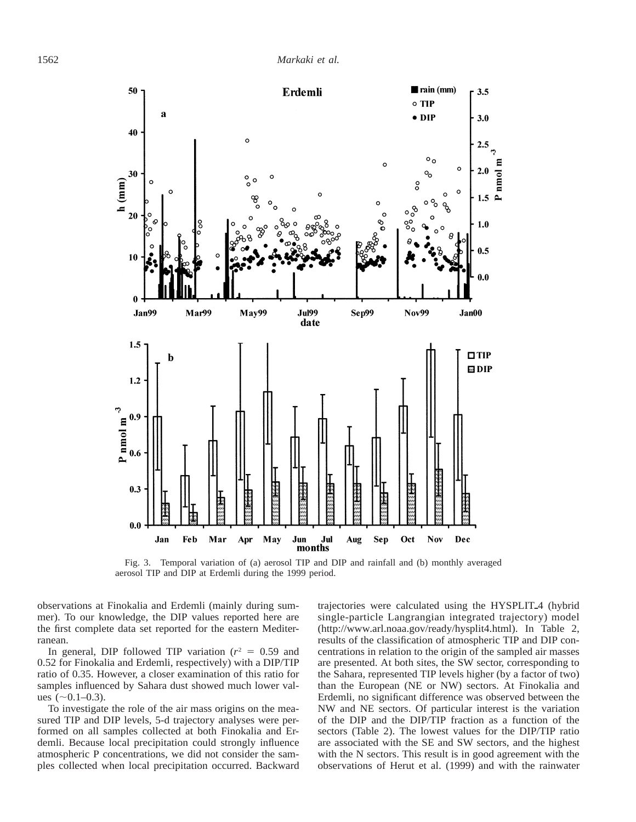

Fig. 3. Temporal variation of (a) aerosol TIP and DIP and rainfall and (b) monthly averaged aerosol TIP and DIP at Erdemli during the 1999 period.

observations at Finokalia and Erdemli (mainly during summer). To our knowledge, the DIP values reported here are the first complete data set reported for the eastern Mediterranean.

In general, DIP followed TIP variation  $(r^2 = 0.59)$  and 0.52 for Finokalia and Erdemli, respectively) with a DIP/TIP ratio of 0.35. However, a closer examination of this ratio for samples influenced by Sahara dust showed much lower values  $(\sim 0.1 - 0.3)$ .

To investigate the role of the air mass origins on the measured TIP and DIP levels, 5-d trajectory analyses were performed on all samples collected at both Finokalia and Erdemli. Because local precipitation could strongly influence atmospheric P concentrations, we did not consider the samples collected when local precipitation occurred. Backward trajectories were calculated using the HYSPLIT<sub>-4</sub> (hybrid single-particle Langrangian integrated trajectory) model (http://www.arl.noaa.gov/ready/hysplit4.html). In Table 2, results of the classification of atmospheric TIP and DIP concentrations in relation to the origin of the sampled air masses are presented. At both sites, the SW sector, corresponding to the Sahara, represented TIP levels higher (by a factor of two) than the European (NE or NW) sectors. At Finokalia and Erdemli, no significant difference was observed between the NW and NE sectors. Of particular interest is the variation of the DIP and the DIP/TIP fraction as a function of the sectors (Table 2). The lowest values for the DIP/TIP ratio are associated with the SE and SW sectors, and the highest with the N sectors. This result is in good agreement with the observations of Herut et al. (1999) and with the rainwater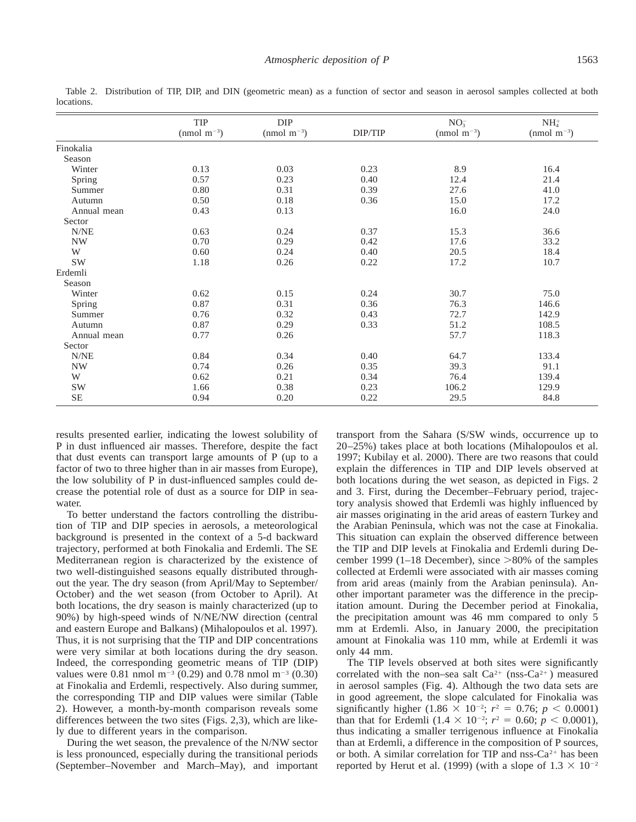|             | TIP<br>$(nmol \text{ m}^{-3})$ | DIP<br>(nmol $m^{-3}$ ) | DIP/TIP | $NO_3^-$<br>(nmol $m^{-3}$ ) | $NH4+$<br>$(nmol \text{ m}^{-3})$ |
|-------------|--------------------------------|-------------------------|---------|------------------------------|-----------------------------------|
| Finokalia   |                                |                         |         |                              |                                   |
| Season      |                                |                         |         |                              |                                   |
| Winter      | 0.13                           | 0.03                    | 0.23    | 8.9                          | 16.4                              |
| Spring      | 0.57                           | 0.23                    | 0.40    | 12.4                         | 21.4                              |
| Summer      | $0.80\,$                       | 0.31                    | 0.39    | 27.6                         | 41.0                              |
| Autumn      | 0.50                           | $0.18\,$                | 0.36    | 15.0                         | 17.2                              |
| Annual mean | 0.43                           | 0.13                    |         | 16.0                         | 24.0                              |
| Sector      |                                |                         |         |                              |                                   |
| N/NE        | 0.63                           | 0.24                    | 0.37    | 15.3                         | 36.6                              |
| NW          | 0.70                           | 0.29                    | 0.42    | 17.6                         | 33.2                              |
| W           | 0.60                           | 0.24                    | 0.40    | 20.5                         | 18.4                              |
| SW          | 1.18                           | 0.26                    | 0.22    | 17.2                         | 10.7                              |
| Erdemli     |                                |                         |         |                              |                                   |
| Season      |                                |                         |         |                              |                                   |
| Winter      | 0.62                           | 0.15                    | 0.24    | 30.7                         | 75.0                              |
| Spring      | 0.87                           | 0.31                    | 0.36    | 76.3                         | 146.6                             |
| Summer      | 0.76                           | 0.32                    | 0.43    | 72.7                         | 142.9                             |
| Autumn      | 0.87                           | 0.29                    | 0.33    | 51.2                         | 108.5                             |
| Annual mean | 0.77                           | 0.26                    |         | 57.7                         | 118.3                             |
| Sector      |                                |                         |         |                              |                                   |
| N/NE        | 0.84                           | 0.34                    | 0.40    | 64.7                         | 133.4                             |
| <b>NW</b>   | 0.74                           | 0.26                    | 0.35    | 39.3                         | 91.1                              |
| W           | 0.62                           | 0.21                    | 0.34    | 76.4                         | 139.4                             |
| SW          | 1.66                           | 0.38                    | 0.23    | 106.2                        | 129.9                             |
| $\rm SE$    | 0.94                           | 0.20                    | 0.22    | 29.5                         | 84.8                              |

Table 2. Distribution of TIP, DIP, and DIN (geometric mean) as a function of sector and season in aerosol samples collected at both locations.

results presented earlier, indicating the lowest solubility of P in dust influenced air masses. Therefore, despite the fact that dust events can transport large amounts of P (up to a factor of two to three higher than in air masses from Europe), the low solubility of P in dust-influenced samples could decrease the potential role of dust as a source for DIP in seawater.

To better understand the factors controlling the distribution of TIP and DIP species in aerosols, a meteorological background is presented in the context of a 5-d backward trajectory, performed at both Finokalia and Erdemli. The SE Mediterranean region is characterized by the existence of two well-distinguished seasons equally distributed throughout the year. The dry season (from April/May to September/ October) and the wet season (from October to April). At both locations, the dry season is mainly characterized (up to 90%) by high-speed winds of N/NE/NW direction (central and eastern Europe and Balkans) (Mihalopoulos et al. 1997). Thus, it is not surprising that the TIP and DIP concentrations were very similar at both locations during the dry season. Indeed, the corresponding geometric means of TIP (DIP) values were 0.81 nmol  $m^{-3}$  (0.29) and 0.78 nmol  $m^{-3}$  (0.30) at Finokalia and Erdemli, respectively. Also during summer, the corresponding TIP and DIP values were similar (Table 2). However, a month-by-month comparison reveals some differences between the two sites (Figs. 2,3), which are likely due to different years in the comparison.

During the wet season, the prevalence of the N/NW sector is less pronounced, especially during the transitional periods (September–November and March–May), and important

transport from the Sahara (S/SW winds, occurrence up to 20–25%) takes place at both locations (Mihalopoulos et al. 1997; Kubilay et al. 2000). There are two reasons that could explain the differences in TIP and DIP levels observed at both locations during the wet season, as depicted in Figs. 2 and 3. First, during the December–February period, trajectory analysis showed that Erdemli was highly influenced by air masses originating in the arid areas of eastern Turkey and the Arabian Peninsula, which was not the case at Finokalia. This situation can explain the observed difference between the TIP and DIP levels at Finokalia and Erdemli during December 1999 (1–18 December), since  $>80\%$  of the samples collected at Erdemli were associated with air masses coming from arid areas (mainly from the Arabian peninsula). Another important parameter was the difference in the precipitation amount. During the December period at Finokalia, the precipitation amount was 46 mm compared to only 5 mm at Erdemli. Also, in January 2000, the precipitation amount at Finokalia was 110 mm, while at Erdemli it was only 44 mm.

The TIP levels observed at both sites were significantly correlated with the non–sea salt  $Ca^{2+}$  (nss-Ca<sup>2+</sup>) measured in aerosol samples (Fig. 4). Although the two data sets are in good agreement, the slope calculated for Finokalia was significantly higher  $(1.86 \times 10^{-2}; r^2 = 0.76; p < 0.0001)$ than that for Erdemli  $(1.4 \times 10^{-2}; r^2 = 0.60; p < 0.0001)$ , thus indicating a smaller terrigenous influence at Finokalia than at Erdemli, a difference in the composition of P sources, or both. A similar correlation for TIP and nss- $Ca^{2+}$  has been reported by Herut et al. (1999) (with a slope of  $1.3 \times 10^{-2}$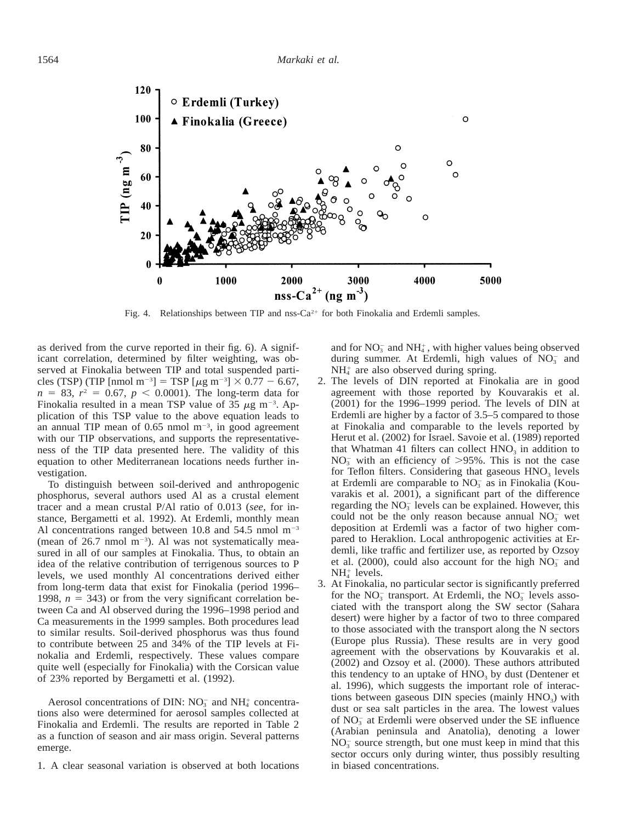

Fig. 4. Relationships between TIP and nss- $Ca^{2+}$  for both Finokalia and Erdemli samples.

as derived from the curve reported in their fig. 6). A significant correlation, determined by filter weighting, was observed at Finokalia between TIP and total suspended particles (TSP) (TIP [nmol m<sup>-3</sup>] = TSP [ $\mu$ g m<sup>-3</sup>] × 0.77 – 6.67,  $n = 83$ ,  $r^2 = 0.67$ ,  $p < 0.0001$ ). The long-term data for Finokalia resulted in a mean TSP value of 35  $\mu$ g m<sup>-3</sup>. Application of this TSP value to the above equation leads to an annual TIP mean of  $0.65$  nmol m<sup>-3</sup>, in good agreement with our TIP observations, and supports the representativeness of the TIP data presented here. The validity of this equation to other Mediterranean locations needs further investigation.

To distinguish between soil-derived and anthropogenic phosphorus, several authors used Al as a crustal element tracer and a mean crustal P/Al ratio of 0.013 (*see,* for instance, Bergametti et al. 1992). At Erdemli, monthly mean Al concentrations ranged between 10.8 and  $54.5$  nmol m<sup>-3</sup> (mean of  $26.7$  nmol m<sup>-3</sup>). Al was not systematically measured in all of our samples at Finokalia. Thus, to obtain an idea of the relative contribution of terrigenous sources to P levels, we used monthly Al concentrations derived either from long-term data that exist for Finokalia (period 1996– 1998,  $n = 343$ ) or from the very significant correlation between Ca and Al observed during the 1996–1998 period and Ca measurements in the 1999 samples. Both procedures lead to similar results. Soil-derived phosphorus was thus found to contribute between 25 and 34% of the TIP levels at Finokalia and Erdemli, respectively. These values compare quite well (especially for Finokalia) with the Corsican value of 23% reported by Bergametti et al. (1992).

Aerosol concentrations of DIN:  $NO_3^-$  and  $NH_4^+$  concentrations also were determined for aerosol samples collected at Finokalia and Erdemli. The results are reported in Table 2 as a function of season and air mass origin. Several patterns emerge.

1. A clear seasonal variation is observed at both locations

and for  $NO_3^-$  and  $NH_4^+$ , with higher values being observed during summer. At Erdemli, high values of NO<sub>3</sub> and  $NH<sub>4</sub>$  are also observed during spring.

- 2. The levels of DIN reported at Finokalia are in good agreement with those reported by Kouvarakis et al. (2001) for the 1996–1999 period. The levels of DIN at Erdemli are higher by a factor of 3.5–5 compared to those at Finokalia and comparable to the levels reported by Herut et al. (2002) for Israel. Savoie et al. (1989) reported that Whatman 41 filters can collect  $HNO<sub>3</sub>$  in addition to  $NO<sub>3</sub>$  with an efficiency of  $>95\%$ . This is not the case for Teflon filters. Considering that gaseous  $HNO<sub>3</sub>$  levels at Erdemli are comparable to  $NO<sub>3</sub><sup>-</sup>$  as in Finokalia (Kouvarakis et al. 2001), a significant part of the difference regarding the  $NO<sub>3</sub><sup>-</sup>$  levels can be explained. However, this could not be the only reason because annual  $NO<sub>3</sub>^-$  wet deposition at Erdemli was a factor of two higher compared to Heraklion. Local anthropogenic activities at Erdemli, like traffic and fertilizer use, as reported by Ozsoy et al. (2000), could also account for the high  $NO<sub>3</sub>^-$  and  $NH<sub>4</sub><sup>+</sup>$  levels.
- 3. At Finokalia, no particular sector is significantly preferred for the  $NO_3^-$  transport. At Erdemli, the  $NO_3^-$  levels associated with the transport along the SW sector (Sahara desert) were higher by a factor of two to three compared to those associated with the transport along the N sectors (Europe plus Russia). These results are in very good agreement with the observations by Kouvarakis et al. (2002) and Ozsoy et al. (2000). These authors attributed this tendency to an uptake of  $HNO<sub>3</sub>$  by dust (Dentener et al. 1996), which suggests the important role of interactions between gaseous DIN species (mainly  $HNO<sub>3</sub>$ ) with dust or sea salt particles in the area. The lowest values of  $NO<sub>3</sub>$  at Erdemli were observed under the SE influence (Arabian peninsula and Anatolia), denoting a lower  $NO<sub>3</sub><sup>-</sup>$  source strength, but one must keep in mind that this sector occurs only during winter, thus possibly resulting in biased concentrations.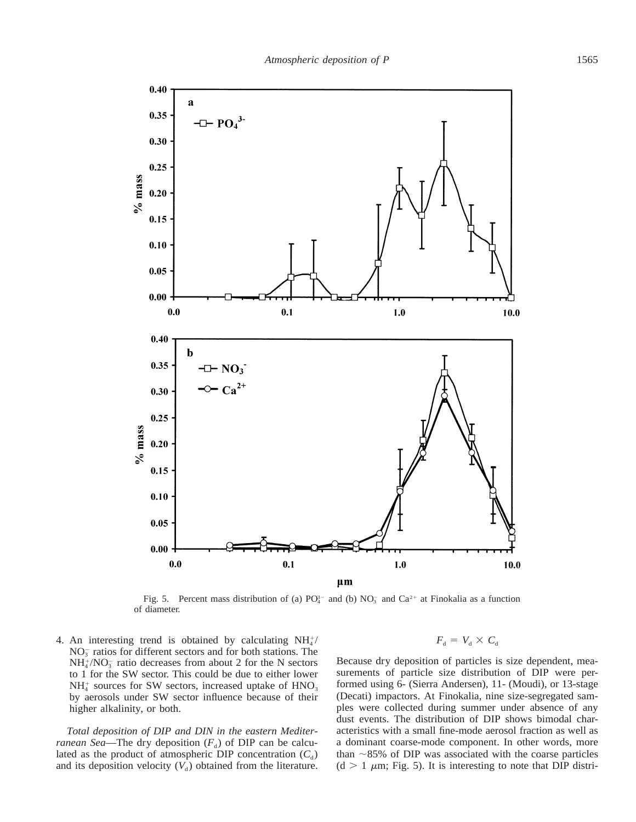

Fig. 5. Percent mass distribution of (a)  $PO_4^{3-}$  and (b)  $NO_3^-$  and  $Ca^{2+}$  at Finokalia as a function of diameter.

4. An interesting trend is obtained by calculating  $NH<sub>4</sub><sup>+</sup>/$  $NO<sub>3</sub><sup>-</sup>$  ratios for different sectors and for both stations. The  $NH_4^+/NO_3^-$  ratio decreases from about 2 for the N sectors to 1 for the SW sector. This could be due to either lower  $NH<sub>4</sub>$  sources for SW sectors, increased uptake of  $HNO<sub>3</sub>$ by aerosols under SW sector influence because of their higher alkalinity, or both.

*Total deposition of DIP and DIN in the eastern Mediterranean Sea*—The dry deposition  $(F_d)$  of DIP can be calculated as the product of atmospheric DIP concentration  $(C_d)$ and its deposition velocity  $(V_d)$  obtained from the literature.  $F_{d} = V_{d} \times C_{d}$ 

Because dry deposition of particles is size dependent, measurements of particle size distribution of DIP were performed using 6- (Sierra Andersen), 11- (Moudi), or 13-stage (Decati) impactors. At Finokalia, nine size-segregated samples were collected during summer under absence of any dust events. The distribution of DIP shows bimodal characteristics with a small fine-mode aerosol fraction as well as a dominant coarse-mode component. In other words, more than  $\sim$ 85% of DIP was associated with the coarse particles  $(d > 1 \mu m; Fig. 5)$ . It is interesting to note that DIP distri-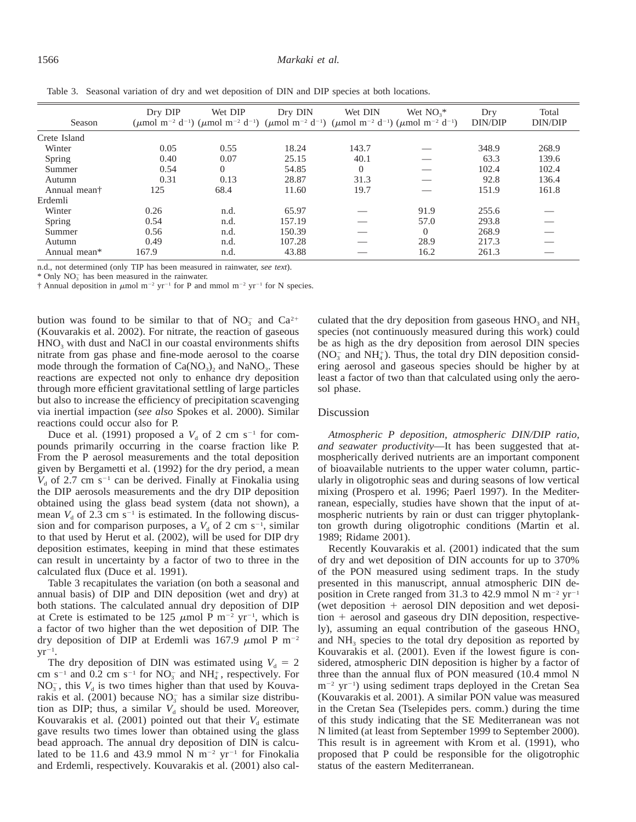#### 1566 *Markaki et al.*

| Season                   | Dry DIP | Wet DIP<br>( $\mu$ mol m <sup>-2</sup> d <sup>-1</sup> ) ( $\mu$ mol m <sup>-2</sup> d <sup>-1</sup> ) ( $\mu$ mol m <sup>-2</sup> d <sup>-1</sup> ) ( $\mu$ mol m <sup>-2</sup> d <sup>-1</sup> ) ( $\mu$ mol m <sup>-2</sup> d <sup>-1</sup> ) | Dry DIN | Wet DIN  | Wet $NO3$ * | Dry<br>DIN/DIP | Total<br>DIN/DIP |
|--------------------------|---------|--------------------------------------------------------------------------------------------------------------------------------------------------------------------------------------------------------------------------------------------------|---------|----------|-------------|----------------|------------------|
| Crete Island             |         |                                                                                                                                                                                                                                                  |         |          |             |                |                  |
| Winter                   | 0.05    | 0.55                                                                                                                                                                                                                                             | 18.24   | 143.7    |             | 348.9          | 268.9            |
| Spring                   | 0.40    | 0.07                                                                                                                                                                                                                                             | 25.15   | 40.1     |             | 63.3           | 139.6            |
| Summer                   | 0.54    | $\Omega$                                                                                                                                                                                                                                         | 54.85   | $\Omega$ |             | 102.4          | 102.4            |
| Autumn                   | 0.31    | 0.13                                                                                                                                                                                                                                             | 28.87   | 31.3     |             | 92.8           | 136.4            |
| Annual mean <sup>†</sup> | 125     | 68.4                                                                                                                                                                                                                                             | 11.60   | 19.7     |             | 151.9          | 161.8            |
| Erdemli                  |         |                                                                                                                                                                                                                                                  |         |          |             |                |                  |
| Winter                   | 0.26    | n.d.                                                                                                                                                                                                                                             | 65.97   |          | 91.9        | 255.6          |                  |
| Spring                   | 0.54    | n.d.                                                                                                                                                                                                                                             | 157.19  |          | 57.0        | 293.8          |                  |
| Summer                   | 0.56    | n.d.                                                                                                                                                                                                                                             | 150.39  |          | $\Omega$    | 268.9          |                  |
| Autumn                   | 0.49    | n.d.                                                                                                                                                                                                                                             | 107.28  |          | 28.9        | 217.3          |                  |
| Annual mean*             | 167.9   | n.d.                                                                                                                                                                                                                                             | 43.88   |          | 16.2        | 261.3          |                  |

Table 3. Seasonal variation of dry and wet deposition of DIN and DIP species at both locations.

n.d., not determined (only TIP has been measured in rainwater, *see text*).

 $*$  Only NO<sub>3</sub> has been measured in the rainwater.

 $\dagger$  Annual deposition in  $\mu$ mol m<sup>-2</sup> yr<sup>-1</sup> for P and mmol m<sup>-2</sup> yr<sup>-1</sup> for N species.

bution was found to be similar to that of  $NO_3^-$  and  $Ca^{2+}$ (Kouvarakis et al. 2002). For nitrate, the reaction of gaseous  $HNO<sub>3</sub>$  with dust and NaCl in our coastal environments shifts nitrate from gas phase and fine-mode aerosol to the coarse mode through the formation of  $Ca(NO<sub>3</sub>)$ , and NaNO<sub>3</sub>. These reactions are expected not only to enhance dry deposition through more efficient gravitational settling of large particles but also to increase the efficiency of precipitation scavenging via inertial impaction (*see also* Spokes et al. 2000). Similar reactions could occur also for P.

Duce et al. (1991) proposed a  $V<sub>d</sub>$  of 2 cm s<sup>-1</sup> for compounds primarily occurring in the coarse fraction like P. From the P aerosol measurements and the total deposition given by Bergametti et al. (1992) for the dry period, a mean  $V<sub>d</sub>$  of 2.7 cm s<sup>-1</sup> can be derived. Finally at Finokalia using the DIP aerosols measurements and the dry DIP deposition obtained using the glass bead system (data not shown), a mean  $V_d$  of 2.3 cm s<sup>-1</sup> is estimated. In the following discussion and for comparison purposes, a  $V<sub>d</sub>$  of 2 cm s<sup>-1</sup>, similar to that used by Herut et al. (2002), will be used for DIP dry deposition estimates, keeping in mind that these estimates can result in uncertainty by a factor of two to three in the calculated flux (Duce et al. 1991).

Table 3 recapitulates the variation (on both a seasonal and annual basis) of DIP and DIN deposition (wet and dry) at both stations. The calculated annual dry deposition of DIP at Crete is estimated to be 125  $\mu$ mol P m<sup>-2</sup> yr<sup>-1</sup>, which is a factor of two higher than the wet deposition of DIP. The dry deposition of DIP at Erdemli was 167.9  $\mu$ mol P m<sup>-2</sup>  $yr^{-1}$ .

The dry deposition of DIN was estimated using  $V_d = 2$ cm s<sup>-1</sup> and 0.2 cm s<sup>-1</sup> for  $NO_3^-$  and  $NH_4^+$ , respectively. For  $NO<sub>3</sub>$ , this  $V<sub>d</sub>$  is two times higher than that used by Kouvarakis et al. (2001) because  $NO<sub>3</sub>^-$  has a similar size distribution as DIP; thus, a similar  $V<sub>d</sub>$  should be used. Moreover, Kouvarakis et al. (2001) pointed out that their  $V_d$  estimate gave results two times lower than obtained using the glass bead approach. The annual dry deposition of DIN is calculated to be 11.6 and 43.9 mmol N  $m^{-2}$  yr<sup>-1</sup> for Finokalia and Erdemli, respectively. Kouvarakis et al. (2001) also calculated that the dry deposition from gaseous  $HNO<sub>3</sub>$  and  $NH<sub>3</sub>$ species (not continuously measured during this work) could be as high as the dry deposition from aerosol DIN species  $(NO<sub>3</sub><sup>-</sup> and NH<sub>4</sub><sup>+</sup>). Thus, the total dry DIN deposition consid$ ering aerosol and gaseous species should be higher by at least a factor of two than that calculated using only the aerosol phase.

### Discussion

*Atmospheric P deposition, atmospheric DIN/DIP ratio, and seawater productivity*—It has been suggested that atmospherically derived nutrients are an important component of bioavailable nutrients to the upper water column, particularly in oligotrophic seas and during seasons of low vertical mixing (Prospero et al. 1996; Paerl 1997). In the Mediterranean, especially, studies have shown that the input of atmospheric nutrients by rain or dust can trigger phytoplankton growth during oligotrophic conditions (Martin et al. 1989; Ridame 2001).

Recently Kouvarakis et al. (2001) indicated that the sum of dry and wet deposition of DIN accounts for up to 370% of the PON measured using sediment traps. In the study presented in this manuscript, annual atmospheric DIN deposition in Crete ranged from 31.3 to 42.9 mmol N  $m^{-2}$  yr<sup>-1</sup> (wet deposition  $+$  aerosol DIN deposition and wet deposi $tion + aerosol$  and gaseous dry DIN deposition, respectively), assuming an equal contribution of the gaseous  $HNO<sub>3</sub>$ and  $NH<sub>3</sub>$  species to the total dry deposition as reported by Kouvarakis et al. (2001). Even if the lowest figure is considered, atmospheric DIN deposition is higher by a factor of three than the annual flux of PON measured (10.4 mmol N  $m^{-2}$  yr<sup>-1</sup>) using sediment traps deployed in the Cretan Sea (Kouvarakis et al. 2001). A similar PON value was measured in the Cretan Sea (Tselepides pers. comm.) during the time of this study indicating that the SE Mediterranean was not N limited (at least from September 1999 to September 2000). This result is in agreement with Krom et al. (1991), who proposed that P could be responsible for the oligotrophic status of the eastern Mediterranean.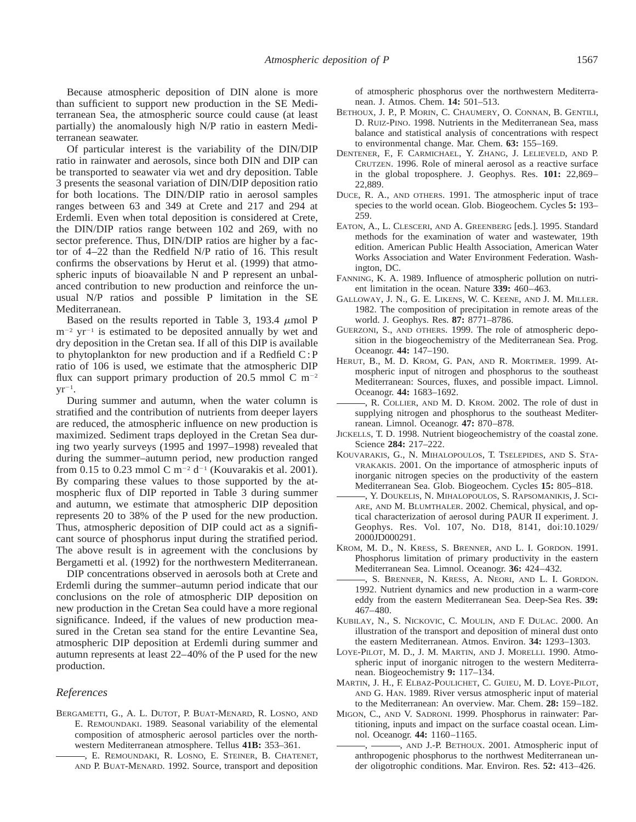Because atmospheric deposition of DIN alone is more than sufficient to support new production in the SE Mediterranean Sea, the atmospheric source could cause (at least partially) the anomalously high N/P ratio in eastern Mediterranean seawater.

Of particular interest is the variability of the DIN/DIP ratio in rainwater and aerosols, since both DIN and DIP can be transported to seawater via wet and dry deposition. Table 3 presents the seasonal variation of DIN/DIP deposition ratio for both locations. The DIN/DIP ratio in aerosol samples ranges between 63 and 349 at Crete and 217 and 294 at Erdemli. Even when total deposition is considered at Crete, the DIN/DIP ratios range between 102 and 269, with no sector preference. Thus, DIN/DIP ratios are higher by a factor of 4–22 than the Redfield N/P ratio of 16. This result confirms the observations by Herut et al. (1999) that atmospheric inputs of bioavailable N and P represent an unbalanced contribution to new production and reinforce the unusual N/P ratios and possible P limitation in the SE Mediterranean.

Based on the results reported in Table 3, 193.4  $\mu$ mol P  $m^{-2}$  yr<sup>-1</sup> is estimated to be deposited annually by wet and dry deposition in the Cretan sea. If all of this DIP is available to phytoplankton for new production and if a Redfield C : P ratio of 106 is used, we estimate that the atmospheric DIP flux can support primary production of 20.5 mmol C  $m^{-2}$  $\mathsf{yr}^{-1}$ .

During summer and autumn, when the water column is stratified and the contribution of nutrients from deeper layers are reduced, the atmospheric influence on new production is maximized. Sediment traps deployed in the Cretan Sea during two yearly surveys (1995 and 1997–1998) revealed that during the summer–autumn period, new production ranged from 0.15 to 0.23 mmol C m<sup>-2</sup> d<sup>-1</sup> (Kouvarakis et al. 2001). By comparing these values to those supported by the atmospheric flux of DIP reported in Table 3 during summer and autumn, we estimate that atmospheric DIP deposition represents 20 to 38% of the P used for the new production. Thus, atmospheric deposition of DIP could act as a significant source of phosphorus input during the stratified period. The above result is in agreement with the conclusions by Bergametti et al. (1992) for the northwestern Mediterranean.

DIP concentrations observed in aerosols both at Crete and Erdemli during the summer–autumn period indicate that our conclusions on the role of atmospheric DIP deposition on new production in the Cretan Sea could have a more regional significance. Indeed, if the values of new production measured in the Cretan sea stand for the entire Levantine Sea, atmospheric DIP deposition at Erdemli during summer and autumn represents at least 22–40% of the P used for the new production.

### *References*

- BERGAMETTI, G., A. L. DUTOT, P. BUAT-MENARD, R. LOSNO, AND E. REMOUNDAKI. 1989. Seasonal variability of the elemental composition of atmospheric aerosol particles over the northwestern Mediterranean atmosphere. Tellus **41B:** 353–361.
	- , E. REMOUNDAKI, R. LOSNO, E. STEINER, B. CHATENET, AND P. BUAT-MENARD. 1992. Source, transport and deposition

of atmospheric phosphorus over the northwestern Mediterranean. J. Atmos. Chem. **14:** 501–513.

- BETHOUX, J. P., P. MORIN, C. CHAUMERY, O. CONNAN, B. GENTILI, D. RUIZ-PINO. 1998. Nutrients in the Mediterranean Sea, mass balance and statistical analysis of concentrations with respect to environmental change. Mar. Chem. **63:** 155–169.
- DENTENER, F., F. CARMICHAEL, Y. ZHANG, J. LELIEVELD, AND P. CRUTZEN. 1996. Role of mineral aerosol as a reactive surface in the global troposphere. J. Geophys. Res. **101:** 22,869– 22,889.
- DUCE, R. A., AND OTHERS. 1991. The atmospheric input of trace species to the world ocean. Glob. Biogeochem. Cycles **5:** 193– 259.
- EATON, A., L. CLESCERI, AND A. GREENBERG [eds.]. 1995. Standard methods for the examination of water and wastewater, 19th edition. American Public Health Association, American Water Works Association and Water Environment Federation. Washington, DC.
- FANNING, K. A. 1989. Influence of atmospheric pollution on nutrient limitation in the ocean. Nature **339:** 460–463.
- GALLOWAY, J. N., G. E. LIKENS, W. C. KEENE, AND J. M. MILLER. 1982. The composition of precipitation in remote areas of the world. J. Geophys. Res. **87:** 8771–8786.
- GUERZONI, S., AND OTHERS. 1999. The role of atmospheric deposition in the biogeochemistry of the Mediterranean Sea. Prog. Oceanogr. **44:** 147–190.
- HERUT, B., M. D. KROM, G. PAN, AND R. MORTIMER. 1999. At[mospheric input of nitrogen and phosphorus to the southeast](http://www.aslo.org/lo/pdf/vol_44/issue_7/1683.pdf) Mediterranean: Sources, fluxes, and possible impact. Limnol. Oceanogr. **44:** 1683–1692.
- , R. COLLIER, AND M. D. KROM. 2002. The role of dust in [supplying nitrogen and phosphorus to the southeast Mediter](http://www.aslo.org/lo/pdf/vol_47/issue_3/0870.pdf)ranean. Limnol. Oceanogr. **47:** 870–878.
- JICKELLS, T. D. 1998. Nutrient biogeochemistry of the coastal zone. Science **284:** 217–222.
- KOUVARAKIS, G., N. MIHALOPOULOS, T. TSELEPIDES, AND S. STA-VRAKAKIS. 2001. On the importance of atmospheric inputs of inorganic nitrogen species on the productivity of the eastern Mediterranean Sea. Glob. Biogeochem. Cycles **15:** 805–818.
- , Y. DOUKELIS, N. MIHALOPOULOS, S. RAPSOMANIKIS, J. SCI-ARE, AND M. BLUMTHALER. 2002. Chemical, physical, and optical characterization of aerosol during PAUR II experiment. J. Geophys. Res. Vol. 107, No. D18, 8141, doi:10.1029/ 2000JD000291.
- KROM, M. D., N. KRESS, S. BRENNER, AND L. I. GORDON. 1991. [Phosphorus limitation of primary productivity in the eastern](http://www.aslo.org/lo/pdf/vol_36/issue_3/0424.pdf) Mediterranean Sea. Limnol. Oceanogr. **36:** 424–432.
- , S. BRENNER, N. KRESS, A. NEORI, AND L. I. GORDON. 1992. Nutrient dynamics and new production in a warm-core eddy from the eastern Mediterranean Sea. Deep-Sea Res. **39:** 467–480.
- KUBILAY, N., S. NICKOVIC, C. MOULIN, AND F. DULAC. 2000. An illustration of the transport and deposition of mineral dust onto the eastern Mediterranean. Atmos. Environ. **34:** 1293–1303.
- LOYE-PILOT, M. D., J. M. MARTIN, AND J. MORELLI. 1990. Atmospheric input of inorganic nitrogen to the western Mediterranean. Biogeochemistry **9:** 117–134.
- MARTIN, J. H., F. ELBAZ-POULICHET, C. GUIEU, M. D. LOYE-PILOT, AND G. HAN. 1989. River versus atmospheric input of material to the Mediterranean: An overview. Mar. Chem. **28:** 159–182.
- MIGON, C., AND V. SADRONI. 1999. Phosphorus in rainwater: Par[titioning, inputs and impact on the surface coastal ocean. Lim](http://www.aslo.org/lo/pdf/vol_44/issue_4/1160.pdf)nol. Oceanogr. **44:** 1160–1165.
	- , AND J.-P. BETHOUX. 2001. Atmospheric input of anthropogenic phosphorus to the northwest Mediterranean under oligotrophic conditions. Mar. Environ. Res. **52:** 413–426.